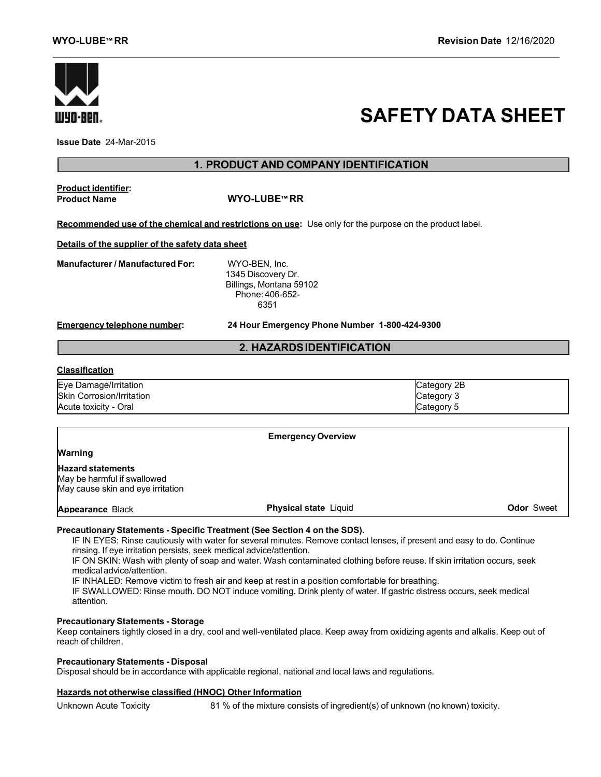

# **SAFETY DATA SHEET**

**Issue Date** 24-Mar-2015

# **1. PRODUCT AND COMPANY IDENTIFICATION**

**Product identifier:**

**Product Name WYO-LUBE™ RR**

**Recommended use of the chemical and restrictions on use:** Use only for the purpose on the product label.

**Details of the supplier of the safety data sheet**

**Manufacturer / Manufactured For:** WYO-BEN, Inc.

1345 Discovery Dr. Billings, Montana 59102 Phone: 406-652- 6351

**Emergency telephone number: 24 Hour Emergency Phone Number 1-800-424-9300**

# **2. HAZARDSIDENTIFICATION**

#### **Classification**

| Eye Damage/Irritation            | Category 2B |
|----------------------------------|-------------|
| <b>Skin Corrosion/Irritation</b> | lCategory 3 |
| Acute toxicity - Oral            | Category 5  |

|                                                                                              | <b>Emergency Overview</b>    |                   |
|----------------------------------------------------------------------------------------------|------------------------------|-------------------|
| <b>Warning</b>                                                                               |                              |                   |
| <b>Hazard statements</b><br>May be harmful if swallowed<br>May cause skin and eye irritation |                              |                   |
| Appearance Black                                                                             | <b>Physical state Liquid</b> | <b>Odor</b> Sweet |

# **Precautionary Statements - Specific Treatment (See Section 4 on the SDS).**

IF IN EYES: Rinse cautiously with water for several minutes. Remove contact lenses, if present and easy to do. Continue rinsing. If eye irritation persists, seek medical advice/attention.

IF ON SKIN: Wash with plenty of soap and water. Wash contaminated clothing before reuse. If skin irritation occurs, seek medical advice/attention.

IF INHALED: Remove victim to fresh air and keep at rest in a position comfortable for breathing.

IF SWALLOWED: Rinse mouth. DO NOT induce vomiting. Drink plenty of water. If gastric distress occurs, seek medical attention.

# **Precautionary Statements - Storage**

Keep containers tightly closed in a dry, cool and well-ventilated place. Keep away from oxidizing agents and alkalis. Keep out of reach of children.

# **Precautionary Statements - Disposal**

Disposal should be in accordance with applicable regional, national and local laws and regulations.

# **Hazards not otherwise classified (HNOC) Other Information**

Unknown Acute Toxicity 81 % of the mixture consists of ingredient(s) of unknown (no known) toxicity.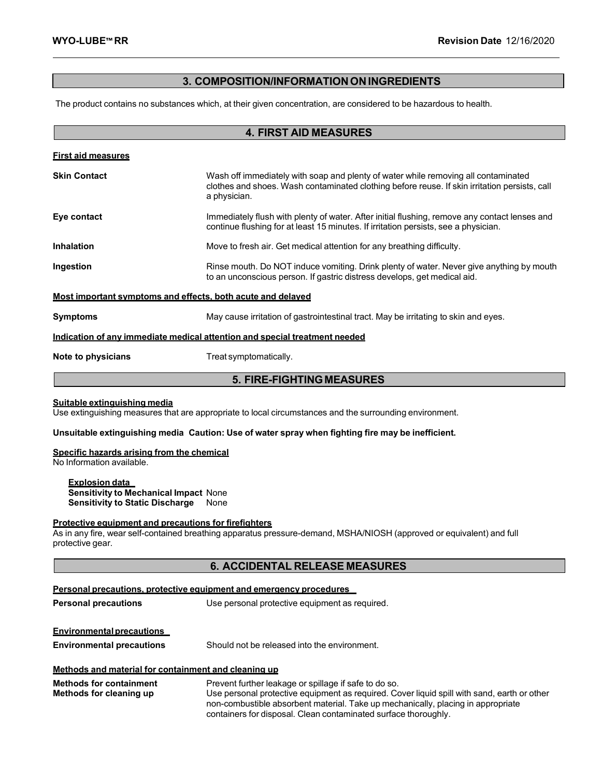# **3. COMPOSITION/INFORMATIONON INGREDIENTS**

The product contains no substances which, at their given concentration, are considered to be hazardous to health.

| <b>4. FIRST AID MEASURES</b>                                                                                                            |                                                                                                                                                                                                     |  |  |  |
|-----------------------------------------------------------------------------------------------------------------------------------------|-----------------------------------------------------------------------------------------------------------------------------------------------------------------------------------------------------|--|--|--|
| <b>First aid measures</b>                                                                                                               |                                                                                                                                                                                                     |  |  |  |
| <b>Skin Contact</b>                                                                                                                     | Wash off immediately with soap and plenty of water while removing all contaminated<br>clothes and shoes. Wash contaminated clothing before reuse. If skin irritation persists, call<br>a physician. |  |  |  |
| Eye contact                                                                                                                             | Immediately flush with plenty of water. After initial flushing, remove any contact lenses and<br>continue flushing for at least 15 minutes. If irritation persists, see a physician.                |  |  |  |
| <b>Inhalation</b>                                                                                                                       | Move to fresh air. Get medical attention for any breathing difficulty.                                                                                                                              |  |  |  |
| Ingestion                                                                                                                               | Rinse mouth. Do NOT induce vomiting. Drink plenty of water. Never give anything by mouth<br>to an unconscious person. If gastric distress develops, get medical aid.                                |  |  |  |
| Most important symptoms and effects, both acute and delayed                                                                             |                                                                                                                                                                                                     |  |  |  |
| <b>Symptoms</b><br>May cause irritation of gastrointestinal tract. May be irritating to skin and eyes.                                  |                                                                                                                                                                                                     |  |  |  |
|                                                                                                                                         | Indication of any immediate medical attention and special treatment needed                                                                                                                          |  |  |  |
| Note to physicians                                                                                                                      | Treat symptomatically.                                                                                                                                                                              |  |  |  |
| <b>5. FIRE-FIGHTING MEASURES</b>                                                                                                        |                                                                                                                                                                                                     |  |  |  |
| Suitable extinguishing media<br>Use extinguishing measures that are appropriate to local circumstances and the surrounding environment. |                                                                                                                                                                                                     |  |  |  |
| Unsuitable extinguishing media Caution: Use of water spray when fighting fire may be inefficient.                                       |                                                                                                                                                                                                     |  |  |  |
| Specific hazards arising from the chemical                                                                                              |                                                                                                                                                                                                     |  |  |  |

No Information available.

**Explosion data Sensitivity to Mechanical Impact** None **Sensitivity to Static Discharge** None

# **Protective equipment and precautions for firefighters**

As in any fire, wear self-contained breathing apparatus pressure-demand, MSHA/NIOSH (approved or equivalent) and full protective gear.

# **6. ACCIDENTAL RELEASE MEASURES**

| Personal precautions, protective equipment and emergency procedures |                                                                                                                                                                                                                                                                                                             |  |  |
|---------------------------------------------------------------------|-------------------------------------------------------------------------------------------------------------------------------------------------------------------------------------------------------------------------------------------------------------------------------------------------------------|--|--|
| <b>Personal precautions</b>                                         | Use personal protective equipment as required.                                                                                                                                                                                                                                                              |  |  |
| <b>Environmental precautions</b>                                    |                                                                                                                                                                                                                                                                                                             |  |  |
| <b>Environmental precautions</b>                                    | Should not be released into the environment.                                                                                                                                                                                                                                                                |  |  |
| Methods and material for containment and cleaning up                |                                                                                                                                                                                                                                                                                                             |  |  |
| <b>Methods for containment</b><br>Methods for cleaning up           | Prevent further leakage or spillage if safe to do so.<br>Use personal protective equipment as required. Cover liquid spill with sand, earth or other<br>non-combustible absorbent material. Take up mechanically, placing in appropriate<br>containers for disposal. Clean contaminated surface thoroughly. |  |  |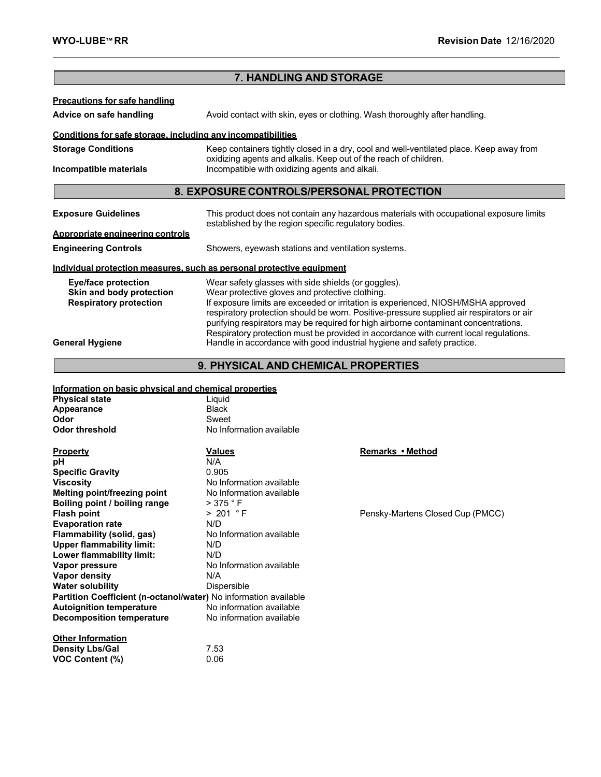**VOC Content (%)** 

# **Precautions for safe handling Advice on safe handling** Avoid contact with skin, eyes or clothing. Wash thoroughly after handling. **Conditions for safe storage, including any incompatibilities Storage Conditions** Keep containers tightly closed in a dry, cool and well-ventilated place. Keep away from oxidizing agents and alkalis. Keep out of the reach of children. **Incompatible materials Incompatible with oxidizing agents and alkali. Exposure Guidelines** This product does not contain any hazardous materials with occupational exposure limits established by the region specific regulatory bodies. **Appropriate engineering controls Engineering Controls** Showers, eyewash stations and ventilation systems. **Individual protection measures, such as personal protective equipment Eye/face protection** Wear safety glasses with side shields (or goggles).<br> **Skin and body protection** Wear protective gloves and protective clothing. **Skin and body protection** Wear protective gloves and protective clothing. **Respiratory protection** If exposure limits are exceeded or irritation is experienced, NIOSH/MSHA approved respiratory protection should be worn. Positive-pressure supplied air respirators or air purifying respirators may be required for high airborne contaminant concentrations. Respiratory protection must be provided in accordance with current local regulations. General Hygiene **Handle in accordance with good industrial hygiene and safety practice. 7. HANDLING AND STORAGE 8. EXPOSURE CONTROLS/PERSONALPROTECTION**

# **9. PHYSICAL AND CHEMICAL PROPERTIES**

# **Information on basic physical and chemical properties**

| <b>Physical state</b>                                            | Liguid                   |                                  |
|------------------------------------------------------------------|--------------------------|----------------------------------|
| Appearance                                                       | <b>Black</b>             |                                  |
| Odor                                                             | Sweet                    |                                  |
| <b>Odor threshold</b>                                            | No Information available |                                  |
|                                                                  |                          |                                  |
| <b>Property</b>                                                  | <u>Values</u>            | Remarks • Method                 |
| рH                                                               | N/A                      |                                  |
| <b>Specific Gravity</b>                                          | 0.905                    |                                  |
| <b>Viscosity</b>                                                 | No Information available |                                  |
| Melting point/freezing point                                     | No Information available |                                  |
| Boiling point / boiling range                                    | $>$ 375 $\degree$ F      |                                  |
| <b>Flash point</b>                                               | > 201 °F                 | Pensky-Martens Closed Cup (PMCC) |
| <b>Evaporation rate</b>                                          | N/D                      |                                  |
| Flammability (solid, gas)                                        | No Information available |                                  |
| <b>Upper flammability limit:</b>                                 | N/D                      |                                  |
| Lower flammability limit:                                        | N/D                      |                                  |
| Vapor pressure                                                   | No Information available |                                  |
| Vapor density                                                    | N/A                      |                                  |
| <b>Water solubility</b>                                          | Dispersible              |                                  |
| Partition Coefficient (n-octanol/water) No information available |                          |                                  |
| <b>Autoignition temperature</b>                                  | No information available |                                  |
| <b>Decomposition temperature</b>                                 | No information available |                                  |
|                                                                  |                          |                                  |
| <b>Other Information</b>                                         |                          |                                  |
| <b>Density Lbs/Gal</b>                                           | 7.53                     |                                  |
| <b>VOC Content (%)</b>                                           | 0.06                     |                                  |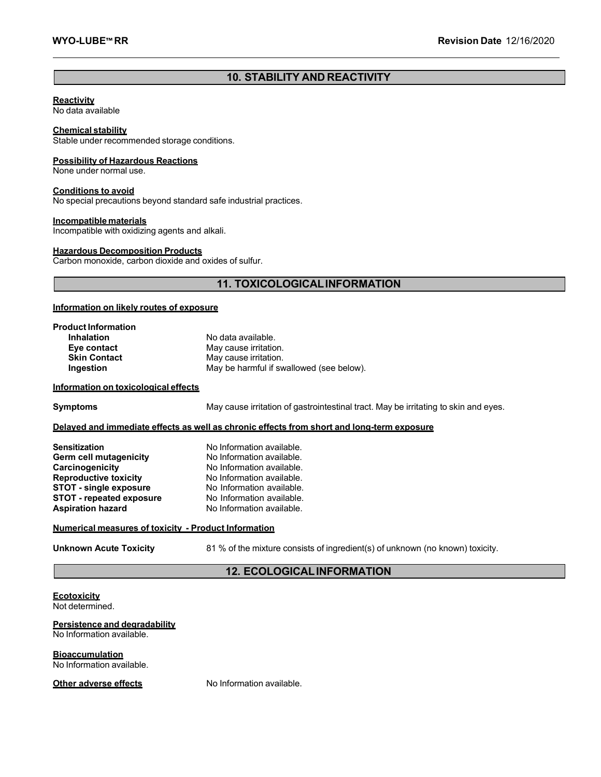# **10. STABILITY AND REACTIVITY**

#### **Reactivity**

No data available

### **Chemical stability**

Stable under recommended storage conditions.

#### **Possibility of Hazardous Reactions**

None under normal use.

#### **Conditions to avoid**

No special precautions beyond standard safe industrial practices.

#### **Incompatible materials**

Incompatible with oxidizing agents and alkali.

#### **Hazardous Decomposition Products**

Carbon monoxide, carbon dioxide and oxides of sulfur.

# **11. TOXICOLOGICALINFORMATION**

#### **Information on likely routes of exposure**

| <b>Product Information</b> |                                          |
|----------------------------|------------------------------------------|
| <b>Inhalation</b>          | No data available.                       |
| Eye contact                | May cause irritation.                    |
| <b>Skin Contact</b>        | May cause irritation.                    |
| Ingestion                  | May be harmful if swallowed (see below). |

#### **Information on toxicological effects**

**Symptoms** May cause irritation of gastrointestinal tract. May be irritating to skin and eyes.

#### **Delayed and immediate effects as well as chronic effects from short and long-term exposure**

| <b>Sensitization</b>            | No Information available. |
|---------------------------------|---------------------------|
| Germ cell mutagenicity          | No Information available. |
| Carcinogenicity                 | No Information available. |
| <b>Reproductive toxicity</b>    | No Information available. |
| <b>STOT - single exposure</b>   | No Information available. |
| <b>STOT - repeated exposure</b> | No Information available. |
| <b>Aspiration hazard</b>        | No Information available. |

#### **Numerical measures of toxicity - Product Information**

**Unknown Acute Toxicity** 81 % of the mixture consists of ingredient(s) of unknown (no known) toxicity.

# **12. ECOLOGICALINFORMATION**

# **Ecotoxicity**

Not determined.

#### **Persistence and degradability**

No Information available.

**Bioaccumulation**

No Information available.

# **Other adverse effects** No Information available.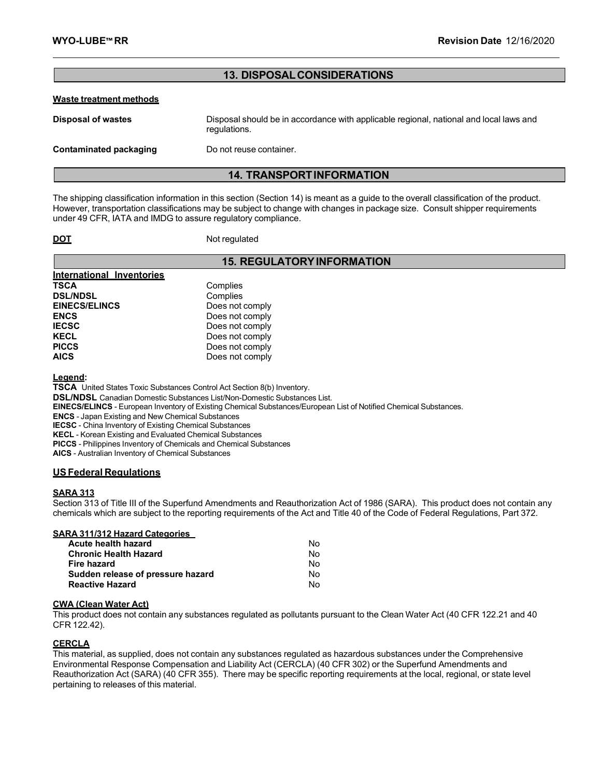# **13. DISPOSALCONSIDERATIONS**

#### **Waste treatment methods**

| <b>Disposal of wastes</b> | Disposal should be in accordance with applicable regional, national and local laws and<br>regulations. |
|---------------------------|--------------------------------------------------------------------------------------------------------|
| Contaminated packaging    | Do not reuse container.                                                                                |

# **14. TRANSPORTINFORMATION**

The shipping classification information in this section (Section 14) is meant as a guide to the overall classification of the product. However, transportation classifications may be subject to change with changes in package size. Consult shipper requirements under 49 CFR, IATA and IMDG to assure regulatory compliance.

**DOT** Not regulated

# **15. REGULATORYINFORMATION**

| International Inventories |                 |
|---------------------------|-----------------|
| <b>TSCA</b>               | Complies        |
| <b>DSL/NDSL</b>           | Complies        |
| <b>EINECS/ELINCS</b>      | Does not comply |
| <b>ENCS</b>               | Does not comply |
| <b>IECSC</b>              | Does not comply |
| <b>KECL</b>               | Does not comply |
| <b>PICCS</b>              | Does not comply |
| <b>AICS</b>               | Does not comply |

**Legend:**

**TSCA** United States Toxic Substances Control Act Section 8(b) Inventory.

**DSL/NDSL** Canadian Domestic Substances List/Non-Domestic Substances List.

**EINECS/ELINCS** - European Inventory of Existing Chemical Substances/European List of Notified Chemical Substances.

**ENCS** - Japan Existing and New Chemical Substances

**IECSC** - China Inventory of Existing Chemical Substances

**KECL** - Korean Existing and Evaluated Chemical Substances

**PICCS** - Philippines Inventory of Chemicals and Chemical Substances

**AICS** - Australian Inventory of Chemical Substances

#### **USFederal Regulations**

#### **SARA 313**

Section 313 of Title III of the Superfund Amendments and Reauthorization Act of 1986 (SARA). This product does not contain any chemicals which are subject to the reporting requirements of the Act and Title 40 of the Code of Federal Regulations, Part 372.

#### **SARA 311/312 Hazard Categories**

| Acute health hazard               | Nο |
|-----------------------------------|----|
| <b>Chronic Health Hazard</b>      | No |
| Fire hazard                       | No |
| Sudden release of pressure hazard | N٥ |
| <b>Reactive Hazard</b>            | N٥ |

#### **CWA (Clean Water Act)**

This product does not contain any substances regulated as pollutants pursuant to the Clean Water Act (40 CFR 122.21 and 40 CFR 122.42).

#### **CERCLA**

This material, as supplied, does not contain any substances regulated as hazardous substances under the Comprehensive Environmental Response Compensation and Liability Act (CERCLA) (40 CFR 302) or the Superfund Amendments and Reauthorization Act (SARA) (40 CFR 355). There may be specific reporting requirements at the local, regional, or state level pertaining to releases of this material.